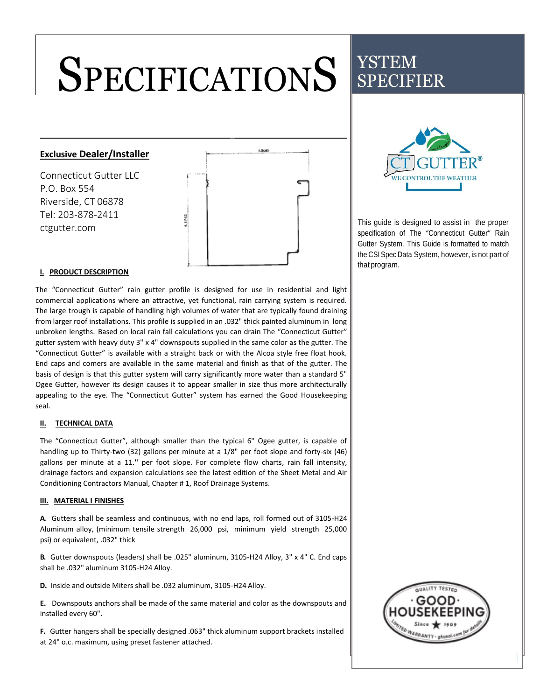# **SPECIFICATIONS** YSTEM SPECIFIER

## **Exclusive Dealer/Installer**

Connecticut Gutter LLC P.O. Box 554 Riverside, CT 06878 Tel: 203-878-2411 ctgutter.com



### **I. PRODUCT DESCRIPTION**

The "Connecticut Gutter" rain gutter profile is designed for use in residential and light commercial applications where an attractive, yet functional, rain carrying system is required. The large trough is capable of handling high volumes of water that are typically found draining from larger roof installations. This profile is supplied in an .032" thick painted aluminum in long unbroken lengths. Based on local rain fall calculations you can drain The "Connecticut Gutter" gutter system with heavy duty 3" x 4" downspouts supplied in the same color as the gutter. The "Connecticut Gutter" is available with a straight back or with the Alcoa style free float hook. End caps and comers are available in the same material and finish as that of the gutter. The basis of design is that this gutter system will carry significantly more water than a standard 5" Ogee Gutter, however its design causes it to appear smaller in size thus more architecturally appealing to the eye. The "Connecticut Gutter" system has earned the Good Housekeeping seal.

#### **II. TECHNICAL DATA**

The "Connecticut Gutter", although smaller than the typical 6" Ogee gutter, is capable of handling up to Thirty-two (32) gallons per minute at a 1/8" per foot slope and forty-six (46) gallons per minute at a 11.'' per foot slope. For complete flow charts, rain fall intensity, drainage factors and expansion calculations see the latest edition of the Sheet Metal and Air Conditioning Contractors Manual, Chapter # 1, Roof Drainage Systems.

#### **III. MATERIAL I FINISHES**

**A.** Gutters shall be seamless and continuous, with no end laps, roll formed out of 3105-H24 Aluminum alloy, (minimum tensile strength 26,000 psi, minimum yield strength 25,000 psi) or equivalent, .032" thick

**B.** Gutter downspouts (leaders) shall be .025" aluminum, 3105-H24 Alloy, 3" x 4" C. End caps shall be .032" aluminum 3105-H24 Alloy.

**D.** Inside and outside Miters shall be .032 aluminum, 3105-H24 Alloy.

**E.** Downspouts anchors shall be made of the same material and color as the downspouts and installed every 60".

**F.** Gutter hangers shall be specially designed .063" thick aluminum support brackets installed at 24" o.c. maximum, using preset fastener attached.



This guide is designed to assist in the proper specification of The "Connecticut Gutter" Rain Gutter System. This Guide is formatted to match the CSI Spec Data System, however, is not part of that program.